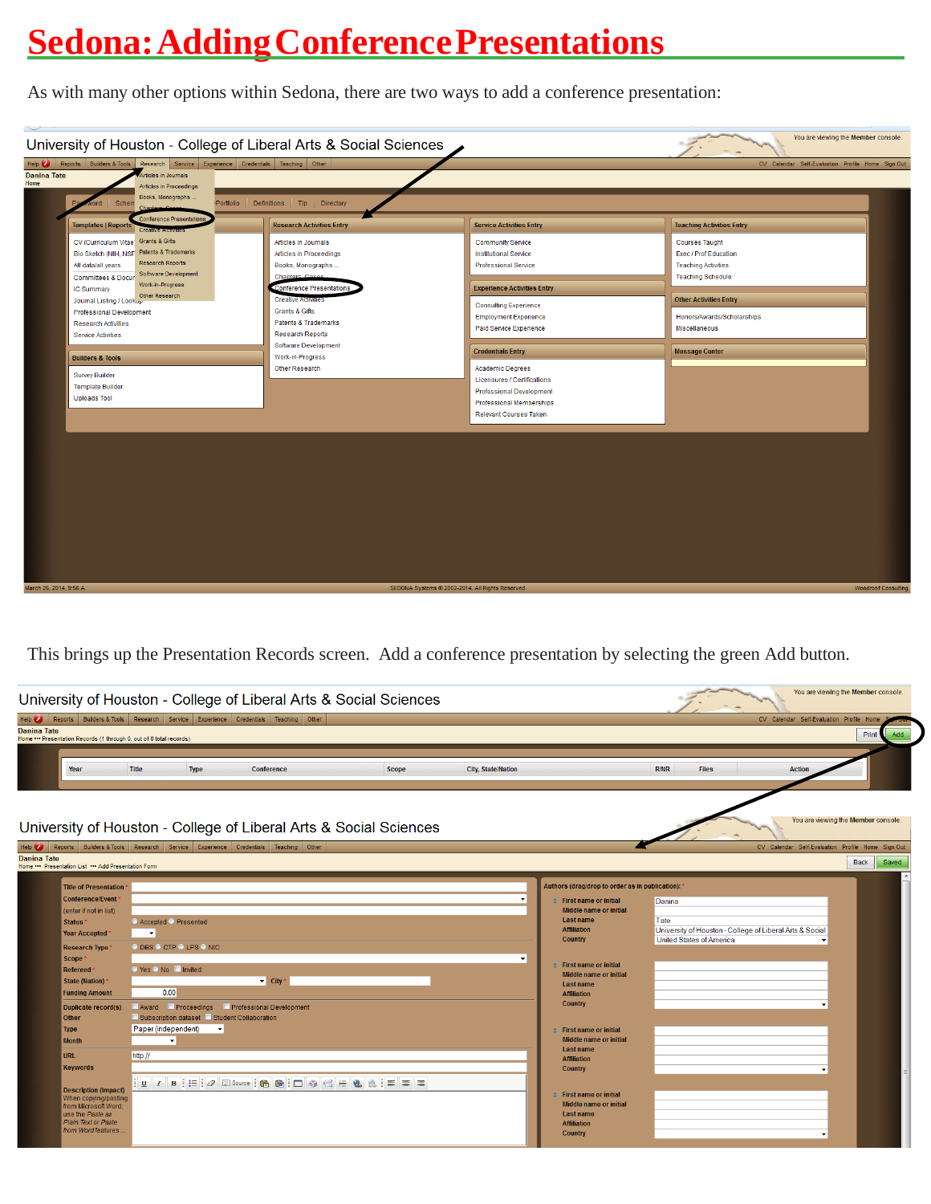# **Sedona:AddingConferencePresentations**

As with many other options within Sedona, there are two ways to add a conference presentation:



This brings up the Presentation Records screen. Add a conference presentation by selecting the green Add button.

|                                                                                                                                                                                                                                                                                                           |                                                                                                                                                                                    |              |                                                                                 | University of Houston - College of Liberal Arts & Social Sciences |                           |                                                                                                                                                                                                                                                                                                                              |                                                                                                               |                                                   | You are viewing the Member console.                         |
|-----------------------------------------------------------------------------------------------------------------------------------------------------------------------------------------------------------------------------------------------------------------------------------------------------------|------------------------------------------------------------------------------------------------------------------------------------------------------------------------------------|--------------|---------------------------------------------------------------------------------|-------------------------------------------------------------------|---------------------------|------------------------------------------------------------------------------------------------------------------------------------------------------------------------------------------------------------------------------------------------------------------------------------------------------------------------------|---------------------------------------------------------------------------------------------------------------|---------------------------------------------------|-------------------------------------------------------------|
| Help $\bullet$<br><b>Danina Tate</b><br>Home *** Presentation Records (1 through 0, out of 0 total records)                                                                                                                                                                                               |                                                                                                                                                                                    |              | Reports Builders & Tools Research Service Experience Credentials Teaching Other |                                                                   |                           |                                                                                                                                                                                                                                                                                                                              |                                                                                                               | CV Calendar Self-Evaluation Profile Home          | Print<br>Add                                                |
| Year                                                                                                                                                                                                                                                                                                      | <b>Title</b>                                                                                                                                                                       | <b>Type</b>  | Conference                                                                      | <b>Scope</b>                                                      | <b>City, State/Nation</b> |                                                                                                                                                                                                                                                                                                                              | R/NR<br><b>Files</b>                                                                                          | <b>Action</b>                                     |                                                             |
| University of Houston - College of Liberal Arts & Social Sciences<br>$He$ <sub><math>\bullet</math></sub><br><b>Danina Tate</b><br>Home *** Presentation List *** Add Presentation Form                                                                                                                   |                                                                                                                                                                                    |              | Reports Builders & Tools Research Service Experience Credentials Teaching Other |                                                                   |                           |                                                                                                                                                                                                                                                                                                                              |                                                                                                               | CV Calendar Self-Evaluation Profile Home Sign Out | You are viewing the Member console.<br><b>Back</b><br>Saved |
| <b>Title of Presentation</b><br><b>Conference/Event</b><br>(enter if not in list)<br>Status <sup></sup><br><b>Year Accepted</b><br><b>Research Type</b><br><b>Scope</b><br><b>Refereed</b><br><b>State (Nation)</b><br><b>Funding Amount</b><br><b>Duplicate record(s)</b><br><b>Other</b><br><b>Type</b> | ● Accepted ● Presented<br>$\overline{\phantom{a}}$<br>© DBS © CTP © LPS © NIC<br>● Yes ● No ■ Invited<br>0.00<br>Subscription dataset Student Collaboration<br>Paper (independent) | $\mathbf{v}$ | $\blacktriangleright$ City<br>Award Proceedings Professional Development        |                                                                   | ٠<br>$\mathbf{v}$         | Authors (drag/drop to order as in publication): '<br><b>t</b> First name or initial<br>Middle name or initial<br><b>Last name</b><br><b>Affiliation</b><br><b>Country</b><br><b>C</b> First name or initial<br>Middle name or initial<br><b>Last name</b><br><b>Affiliation</b><br>Country<br><b>1</b> First name or initial | Danina<br>Tate<br>University of Houston - College of Liberal Arts & Social<br><b>United States of America</b> |                                                   |                                                             |
| <b>Month</b><br><b>URL</b><br><b>Keywords</b><br><b>Description (Impact)</b><br>When copying/pasting<br>from Microsoft Word.<br>use the Paste as<br>Plain Text or Paste<br>from Word features                                                                                                             | $\mathbf{v}$<br>http://                                                                                                                                                            |              |                                                                                 |                                                                   |                           | Middle name or initial<br><b>Last name</b><br><b>Affiliation</b><br>Country<br><b>C</b> First name or initial<br>Middle name or initial<br><b>Last name</b><br><b>Affiliation</b><br>Country                                                                                                                                 |                                                                                                               |                                                   |                                                             |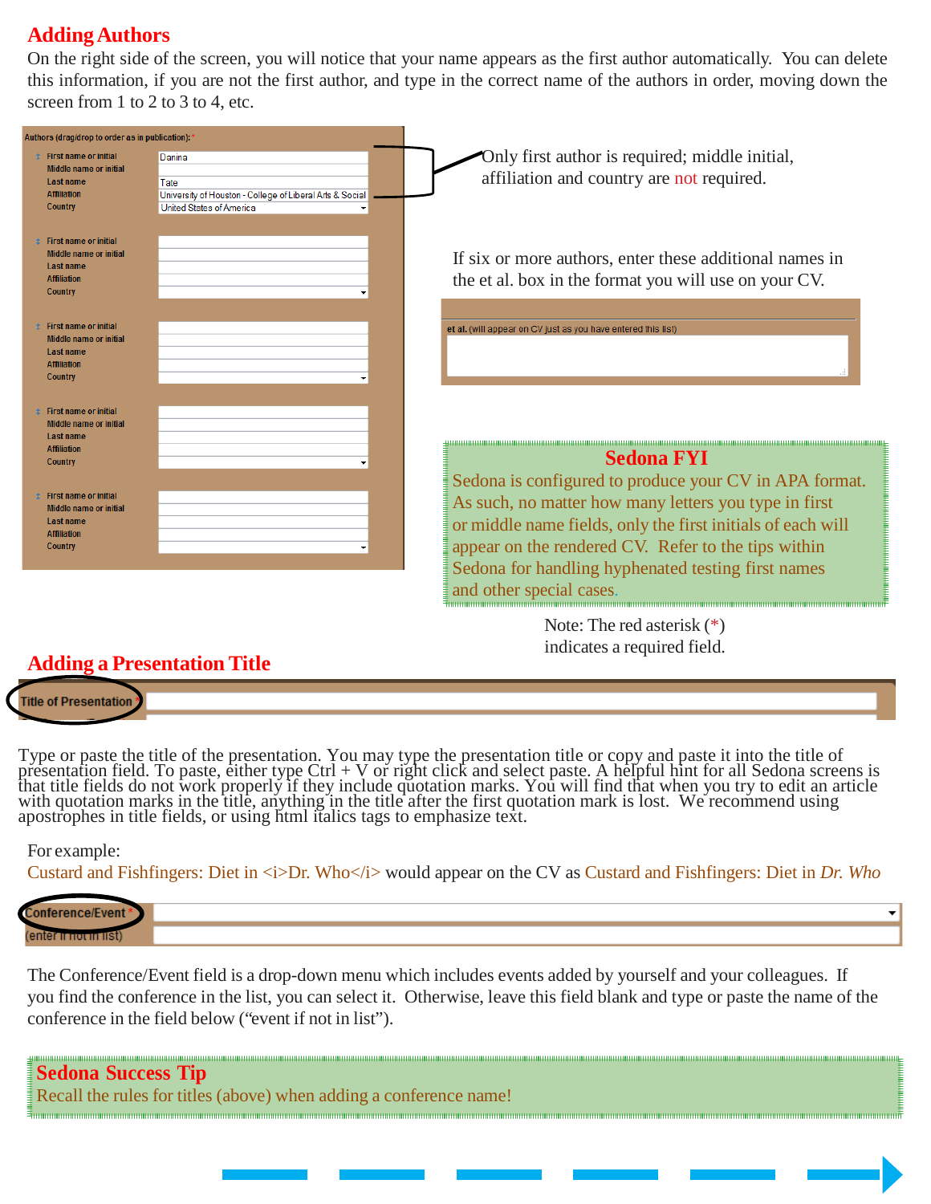#### **AddingAuthors**

On the right side of the screen, you will notice that your name appears as the first author automatically. You can delete this information, if you are not the first author, and type in the correct name of the authors in order, moving down the screen from 1 to 2 to 3 to 4, etc.

| Authors (drag/drop to order as in publication): 3                                                                                                                                                                |                                                                                                                                                                                                                                                                                                                         |
|------------------------------------------------------------------------------------------------------------------------------------------------------------------------------------------------------------------|-------------------------------------------------------------------------------------------------------------------------------------------------------------------------------------------------------------------------------------------------------------------------------------------------------------------------|
| <b>1</b> First name or initial<br>Danina<br>Middle name or initial<br>Last name<br>Tate<br><b>Affiliation</b><br>University of Houston - College of Liberal Arts & Social<br>United States of America<br>Country | Only first author is required; middle initial,<br>affiliation and country are not required.                                                                                                                                                                                                                             |
| <b>First name or initial</b><br>Middle name or initial<br>Last name<br><b>Affiliation</b><br>Country                                                                                                             | If six or more authors, enter these additional names in<br>the et al. box in the format you will use on your CV.                                                                                                                                                                                                        |
| <b>First name or initial</b><br>Middle name or initial<br><b>Last name</b><br><b>Affiliation</b><br>Country                                                                                                      | et al. (will appear on CV just as you have entered this list)                                                                                                                                                                                                                                                           |
| <b>First name or initial</b><br><b>Middle name or initial</b><br><b>Last name</b><br><b>Affiliation</b><br>Country                                                                                               | <b>Sedona FYI</b>                                                                                                                                                                                                                                                                                                       |
| <b>First name or initial</b><br>Middle name or initial<br><b>Last name</b><br><b>Affiliation</b><br>Country                                                                                                      | Sedona is configured to produce your CV in APA format.<br>As such, no matter how many letters you type in first<br>or middle name fields, only the first initials of each will<br>appear on the rendered CV. Refer to the tips within<br>Sedona for handling hyphenated testing first names<br>and other special cases. |
|                                                                                                                                                                                                                  | Note: The red asterisk $(*)$                                                                                                                                                                                                                                                                                            |

# indicates a required field.

#### **Adding a Presentation Title**

**Title of Presentation** 

Type or paste the title of the presentation. You may type the presentation title or copy and paste it into the title of<br>presentation field. To paste, either type Ctrl + V or right click and select paste. A helpful hint for that title fields do not work properly if they include quotation marks. You will find that when you try to edit an article<br>with quotation marks in the title, anything in the title after the first quotation mark is lost. We apostrophes in title fields, or using html italics tags to emphasize text.

#### For example:

Custard and Fishfingers: Diet in  $\langle i \rangle$ Dr. Who $\langle i \rangle$  would appear on the CV as Custard and Fishfingers: Diet in *Dr. Who* 

The Conference/Event field is a drop-down menu which includes events added by yourself and your colleagues. If you find the conference in the list, you can select it. Otherwise, leave this field blank and type or paste the name of the conference in the field below ("event if not in list").

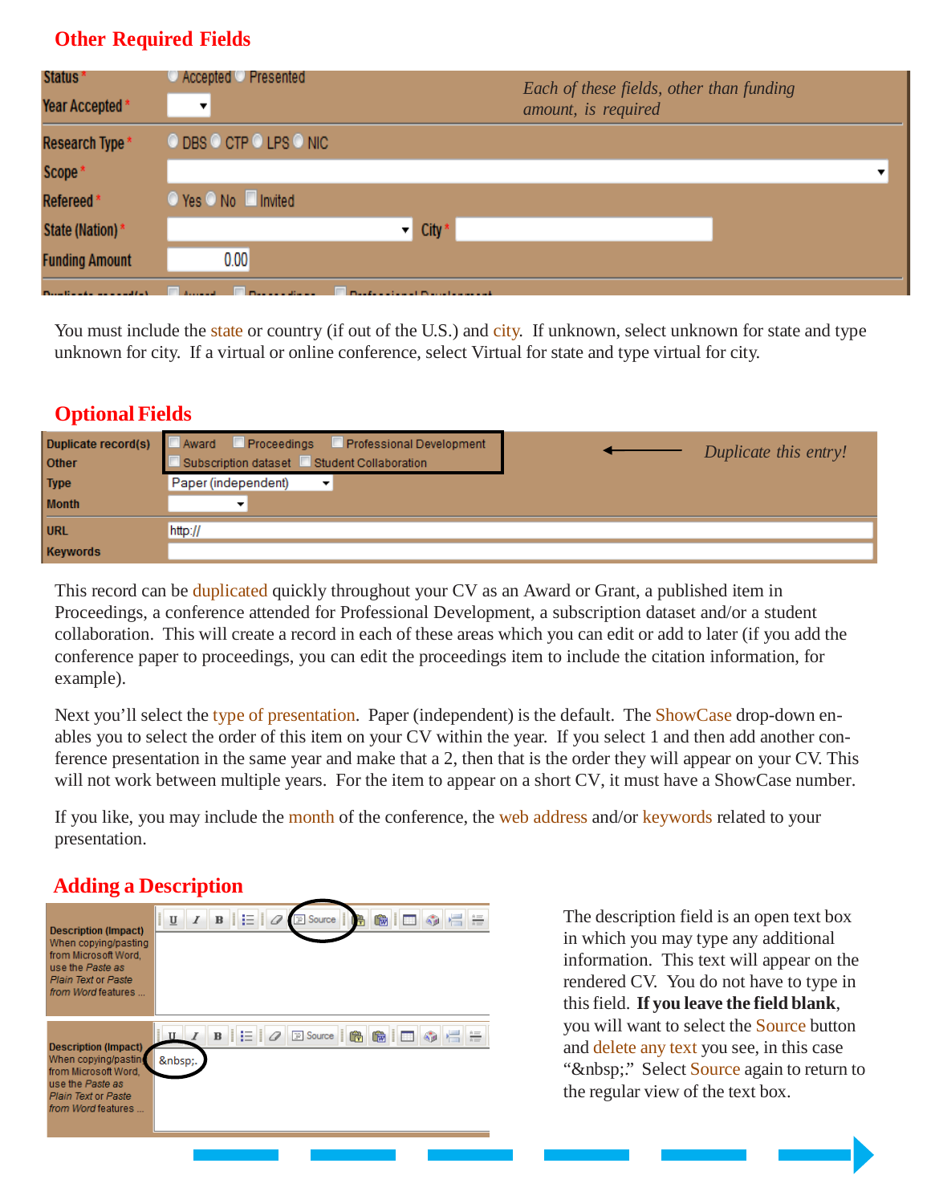### **Other Required Fields**

| Status *                    | Accepted C Presented                                                                                                                                                                                                                                                             | Each of these fields, other than funding |
|-----------------------------|----------------------------------------------------------------------------------------------------------------------------------------------------------------------------------------------------------------------------------------------------------------------------------|------------------------------------------|
| Year Accepted*              | ▼                                                                                                                                                                                                                                                                                | amount, is required                      |
| Research Type *             | © DBS © CTP © LPS © NIC                                                                                                                                                                                                                                                          |                                          |
| Scope*                      |                                                                                                                                                                                                                                                                                  | $\overline{\phantom{a}}$                 |
| Refereed*                   | © Yes © No ■ Invited                                                                                                                                                                                                                                                             |                                          |
| State (Nation) *            | $\overline{\phantom{a}}$ City $\overline{\phantom{a}}$                                                                                                                                                                                                                           |                                          |
| <b>Funding Amount</b>       | 0.00                                                                                                                                                                                                                                                                             |                                          |
| Department of the condition | <b>Contract Contract Contract Contract Contract Contract Contract Contract Contract Contract Contract Contract Contract Contract Contract Contract Contract Contract Contract Contract Contract Contract Contract Contract Contr</b><br><b>Construction of Property and Call</b> |                                          |

You must include the state or country (if out of the U.S.) and city. If unknown, select unknown for state and type unknown for city. If a virtual or online conference, select Virtual for state and type virtual for city.

## **Optional Fields**

| Duplicate record(s)<br>Other | Award Proceedings Professional Development<br>Subscription dataset Student Collaboration | Duplicate this entry! |
|------------------------------|------------------------------------------------------------------------------------------|-----------------------|
| <b>Type</b>                  | Paper (independent)                                                                      |                       |
| <b>Month</b>                 |                                                                                          |                       |
| <b>URL</b>                   | http://                                                                                  |                       |
| <b>Keywords</b>              |                                                                                          |                       |

This record can be duplicated quickly throughout your CV as an Award or Grant, a published item in Proceedings, a conference attended for Professional Development, a subscription dataset and/or a student collaboration. This will create a record in each of these areas which you can edit or add to later (if you add the conference paper to proceedings, you can edit the proceedings item to include the citation information, for example).

Next you'll select the type of presentation. Paper (independent) is the default. The ShowCase drop-down enables you to select the order of this item on your CV within the year. If you select 1 and then add another conference presentation in the same year and make that a 2, then that is the order they will appear on your CV. This will not work between multiple years. For the item to appear on a short CV, it must have a ShowCase number.

If you like, you may include the month of the conference, the web address and/or keywords related to your presentation.

#### **Adding a Description**



The description field is an open text box in which you may type any additional information. This text will appear on the rendered CV. You do not have to type in thisfield. **If you leave the field blank**, you will want to select the Source button and delete any text you see, in this case " " Select Source again to return to the regular view of the text box.